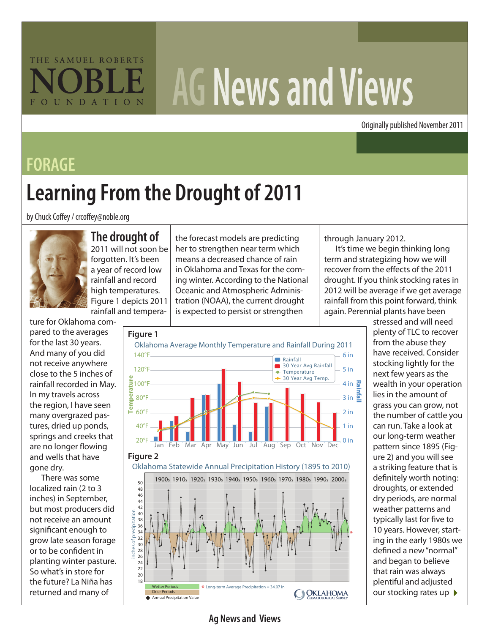# THE SAMUEL ROBERTS OUNDATION

# **AG News and Views**

Originally published November 2011

### **FORAGE**

# **Learning From the Drought of 2011**

#### by Chuck Coffey / crcoffey@noble.org



#### **The drought of**

2011 will not soon be forgotten. It's been a year of record low rainfall and record high temperatures. Figure 1 depicts 2011 rainfall and tempera-

ture for Oklahoma compared to the averages for the last 30 years. And many of you did not receive anywhere close to the 5 inches of rainfall recorded in May. In my travels across the region, I have seen many overgrazed pastures, dried up ponds, springs and creeks that are no longer flowing and wells that have gone dry.

There was some localized rain (2 to 3 inches) in September, but most producers did not receive an amount significant enough to grow late season forage or to be confident in planting winter pasture. So what's in store for the future? La Niña has returned and many of

the forecast models are predicting her to strengthen near term which means a decreased chance of rain in Oklahoma and Texas for the coming winter. According to the National Oceanic and Atmospheric Administration (NOAA), the current drought is expected to persist or strengthen

through January 2012.

It's time we begin thinking long term and strategizing how we will recover from the effects of the 2011 drought. If you think stocking rates in 2012 will be average if we get average rainfall from this point forward, think again. Perennial plants have been



our stocking rates up  $\blacktriangleright$ stressed and will need plenty of TLC to recover from the abuse they have received. Consider stocking lightly for the next few years as the wealth in your operation lies in the amount of grass you can grow, not the number of cattle you can run. Take a look at our long-term weather pattern since 1895 (Figure 2) and you will see a striking feature that is definitely worth noting: droughts, or extended dry periods, are normal weather patterns and typically last for five to 10 years. However, starting in the early 1980s we defined a new "normal" and began to believe that rain was always plentiful and adjusted

**Ag News and Views**